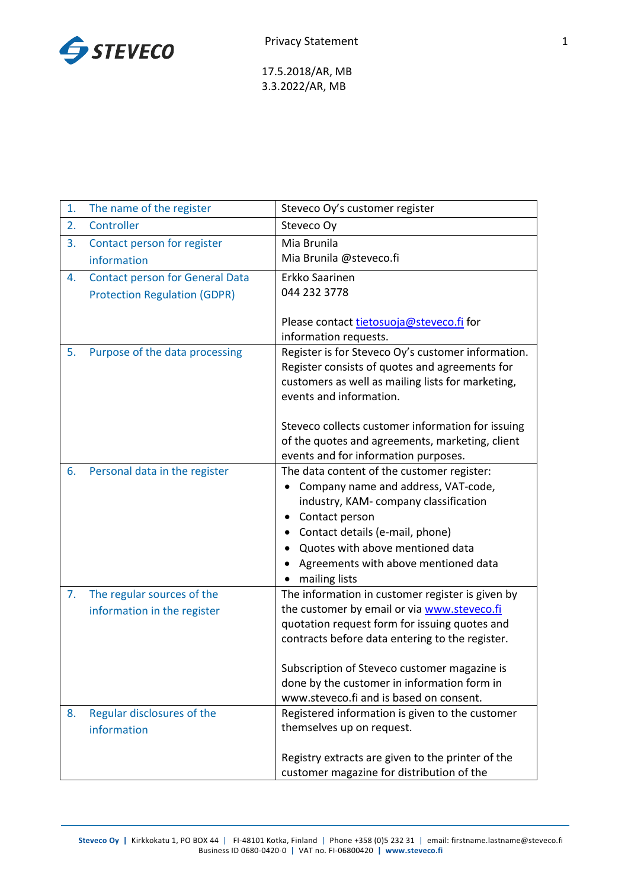

17.5.2018/AR, MB 3.3.2022/AR, MB

| 1. | The name of the register               | Steveco Oy's customer register                                                         |
|----|----------------------------------------|----------------------------------------------------------------------------------------|
| 2. | Controller                             | Steveco Oy                                                                             |
| 3. | Contact person for register            | Mia Brunila                                                                            |
|    | information                            | Mia Brunila @steveco.fi                                                                |
| 4. | <b>Contact person for General Data</b> | Erkko Saarinen                                                                         |
|    | <b>Protection Regulation (GDPR)</b>    | 044 232 3778                                                                           |
|    |                                        |                                                                                        |
|    |                                        | Please contact tietosuoja@steveco.fi for                                               |
| 5. |                                        | information requests.<br>Register is for Steveco Oy's customer information.            |
|    | Purpose of the data processing         | Register consists of quotes and agreements for                                         |
|    |                                        | customers as well as mailing lists for marketing,                                      |
|    |                                        | events and information.                                                                |
|    |                                        |                                                                                        |
|    |                                        | Steveco collects customer information for issuing                                      |
|    |                                        | of the quotes and agreements, marketing, client                                        |
|    |                                        | events and for information purposes.                                                   |
| 6. | Personal data in the register          | The data content of the customer register:                                             |
|    |                                        | Company name and address, VAT-code,                                                    |
|    |                                        | industry, KAM- company classification                                                  |
|    |                                        | Contact person                                                                         |
|    |                                        | Contact details (e-mail, phone)<br>Quotes with above mentioned data                    |
|    |                                        | Agreements with above mentioned data                                                   |
|    |                                        | mailing lists                                                                          |
| 7. | The regular sources of the             | The information in customer register is given by                                       |
|    | information in the register            | the customer by email or via www.steveco.fi                                            |
|    |                                        | quotation request form for issuing quotes and                                          |
|    |                                        | contracts before data entering to the register.                                        |
|    |                                        |                                                                                        |
|    |                                        | Subscription of Steveco customer magazine is                                           |
|    |                                        | done by the customer in information form in<br>www.steveco.fi and is based on consent. |
| 8. | Regular disclosures of the             | Registered information is given to the customer                                        |
|    | information                            | themselves up on request.                                                              |
|    |                                        |                                                                                        |
|    |                                        | Registry extracts are given to the printer of the                                      |
|    |                                        | customer magazine for distribution of the                                              |

**Steveco Oy |** Kirkkokatu 1, PO BOX 44 | FI-48101 Kotka, Finland | Phone +358 (0)5 232 31 | email: firstname.lastname@steveco.fi Business ID 0680-0420-0 | VAT no. FI-06800420 **| www.steveco.fi**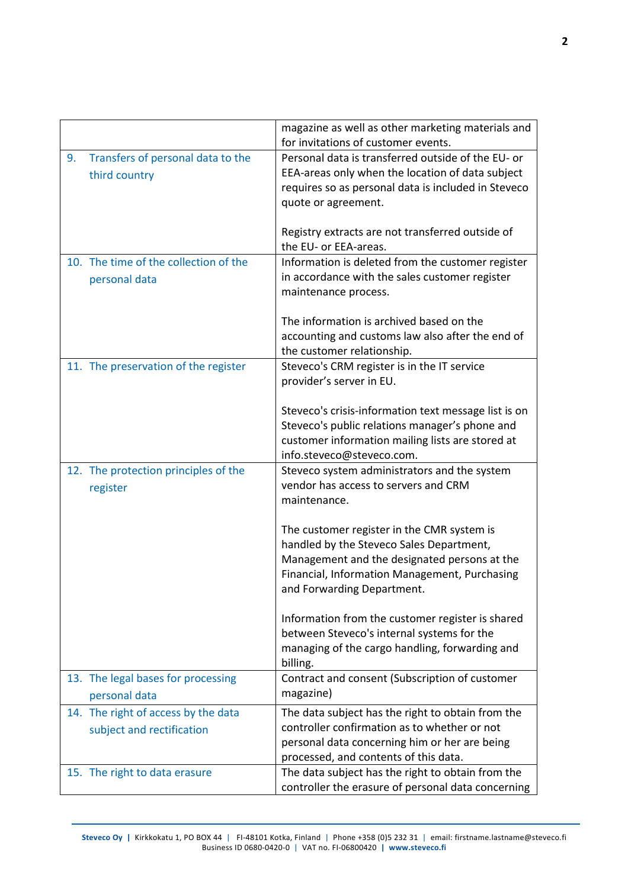|    |                                       | magazine as well as other marketing materials and    |
|----|---------------------------------------|------------------------------------------------------|
|    |                                       | for invitations of customer events.                  |
| 9. | Transfers of personal data to the     | Personal data is transferred outside of the EU- or   |
|    | third country                         | EEA-areas only when the location of data subject     |
|    |                                       | requires so as personal data is included in Steveco  |
|    |                                       | quote or agreement.                                  |
|    |                                       |                                                      |
|    |                                       | Registry extracts are not transferred outside of     |
|    |                                       | the EU- or EEA-areas.                                |
|    | 10. The time of the collection of the | Information is deleted from the customer register    |
|    | personal data                         | in accordance with the sales customer register       |
|    |                                       | maintenance process.                                 |
|    |                                       |                                                      |
|    |                                       | The information is archived based on the             |
|    |                                       | accounting and customs law also after the end of     |
|    |                                       | the customer relationship.                           |
|    | 11. The preservation of the register  | Steveco's CRM register is in the IT service          |
|    |                                       | provider's server in EU.                             |
|    |                                       |                                                      |
|    |                                       | Steveco's crisis-information text message list is on |
|    |                                       | Steveco's public relations manager's phone and       |
|    |                                       | customer information mailing lists are stored at     |
|    |                                       | info.steveco@steveco.com.                            |
|    | 12. The protection principles of the  | Steveco system administrators and the system         |
|    |                                       | vendor has access to servers and CRM                 |
|    | register                              | maintenance.                                         |
|    |                                       |                                                      |
|    |                                       | The customer register in the CMR system is           |
|    |                                       | handled by the Steveco Sales Department,             |
|    |                                       | Management and the designated persons at the         |
|    |                                       | Financial, Information Management, Purchasing        |
|    |                                       | and Forwarding Department.                           |
|    |                                       |                                                      |
|    |                                       | Information from the customer register is shared     |
|    |                                       | between Steveco's internal systems for the           |
|    |                                       | managing of the cargo handling, forwarding and       |
|    |                                       | billing.                                             |
|    | 13. The legal bases for processing    | Contract and consent (Subscription of customer       |
|    |                                       | magazine)                                            |
|    | personal data                         |                                                      |
|    | 14. The right of access by the data   | The data subject has the right to obtain from the    |
|    | subject and rectification             | controller confirmation as to whether or not         |
|    |                                       | personal data concerning him or her are being        |
|    |                                       | processed, and contents of this data.                |
|    | 15. The right to data erasure         | The data subject has the right to obtain from the    |
|    |                                       | controller the erasure of personal data concerning   |